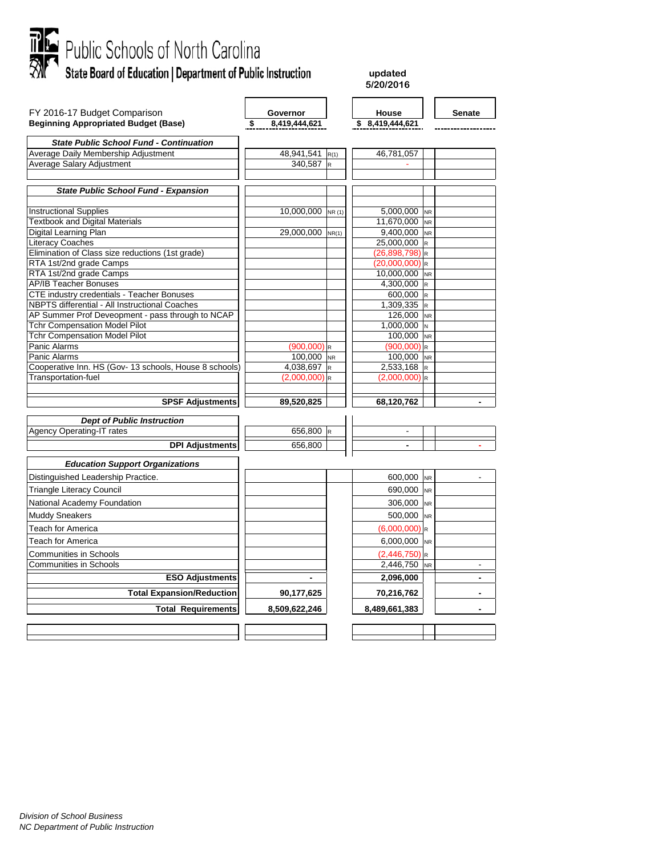

**updated 5/20/2016**

| FY 2016-17 Budget Comparison                           | Governor                               |        | House                       |                         | <b>Senate</b>            |
|--------------------------------------------------------|----------------------------------------|--------|-----------------------------|-------------------------|--------------------------|
| <b>Beginning Appropriated Budget (Base)</b>            | 8,419,444,621<br>\$                    |        | \$ 8,419,444,621            |                         |                          |
|                                                        |                                        |        |                             |                         |                          |
| <b>State Public School Fund - Continuation</b>         |                                        |        |                             |                         |                          |
| Average Daily Membership Adjustment                    | 48,941,541                             | R(1)   | 46,781,057                  |                         |                          |
| Average Salary Adjustment                              | 340,587                                | l R    |                             |                         |                          |
|                                                        |                                        |        |                             |                         |                          |
| <b>State Public School Fund - Expansion</b>            |                                        |        |                             |                         |                          |
|                                                        |                                        |        |                             |                         |                          |
| <b>Instructional Supplies</b>                          | 10,000,000                             | NR (1) | 5,000,000                   | <b>NR</b>               |                          |
| <b>Textbook and Digital Materials</b>                  |                                        |        | 11.670.000                  | <b>NR</b>               |                          |
| Digital Learning Plan                                  | 29,000,000                             | NR(1)  | 9,400,000 NR                |                         |                          |
| <b>Literacy Coaches</b>                                |                                        |        | 25,000,000                  | R                       |                          |
| Elimination of Class size reductions (1st grade)       |                                        |        | $(26,898,798)$ <sub>R</sub> |                         |                          |
| RTA 1st/2nd grade Camps                                |                                        |        | $(20,000,000)$ <sub>R</sub> |                         |                          |
| RTA 1st/2nd grade Camps                                |                                        |        | 10,000,000 NR               |                         |                          |
| <b>AP/IB Teacher Bonuses</b>                           |                                        |        | 4,300,000                   | $\overline{R}$          |                          |
| CTE industry credentials - Teacher Bonuses             |                                        |        | 600,000                     | R                       |                          |
| NBPTS differential - All Instructional Coaches         |                                        |        | 1,309,335                   | $\overline{\mathsf{R}}$ |                          |
| AP Summer Prof Deveopment - pass through to NCAP       |                                        |        | 126,000                     | <b>NR</b>               |                          |
| <b>Tchr Compensation Model Pilot</b>                   |                                        |        | $1,000,000$ N               |                         |                          |
| <b>Tchr Compensation Model Pilot</b>                   |                                        |        | 100,000 NR                  |                         |                          |
| Panic Alarms<br>Panic Alarms                           | $(900,000)$ <sub>R</sub><br>100,000 NR |        | (900,000)                   | $\mathsf{R}$            |                          |
| Cooperative Inn. HS (Gov- 13 schools, House 8 schools) | 4,038,697                              | İR     | 100,000 NR<br>2,533,168     | R                       |                          |
| Transportation-fuel                                    | $(2,000,000)$ <sub>R</sub>             |        | $(2,000,000)$ <sub>R</sub>  |                         |                          |
|                                                        |                                        |        |                             |                         |                          |
| <b>SPSF Adjustments</b>                                | 89,520,825                             |        | 68,120,762                  |                         | $\blacksquare$           |
|                                                        |                                        |        |                             |                         |                          |
| <b>Dept of Public Instruction</b>                      |                                        |        |                             |                         |                          |
| <b>Agency Operating-IT rates</b>                       | 656,800 R                              |        | $\blacksquare$              |                         |                          |
| <b>DPI Adjustments</b>                                 | 656,800                                |        | $\blacksquare$              |                         | $\overline{\phantom{a}}$ |
| <b>Education Support Organizations</b>                 |                                        |        |                             |                         |                          |
| Distinguished Leadership Practice.                     |                                        |        | 600,000                     | <b>NR</b>               |                          |
| <b>Triangle Literacy Council</b>                       |                                        |        | 690,000                     | <b>NR</b>               |                          |
| National Academy Foundation                            |                                        |        | 306,000                     | <b>NR</b>               |                          |
| <b>Muddy Sneakers</b>                                  |                                        |        | 500,000                     | <b>NR</b>               |                          |
| Teach for America                                      |                                        |        | $(6,000,000)$ <sub>R</sub>  |                         |                          |
| <b>Teach for America</b>                               |                                        |        | 6,000,000                   | <b>NR</b>               |                          |
| <b>Communities in Schools</b>                          |                                        |        | $(2,446,750)$ R             |                         |                          |
| <b>Communities in Schools</b>                          |                                        |        | 2,446,750                   | <b>NR</b>               |                          |
| <b>ESO Adjustments</b>                                 |                                        |        | 2,096,000                   |                         |                          |
| <b>Total Expansion/Reduction</b>                       | 90,177,625                             |        | 70,216,762                  |                         |                          |
| <b>Total Requirements</b>                              | 8,509,622,246                          |        | 8,489,661,383               |                         |                          |
|                                                        |                                        |        |                             |                         |                          |
|                                                        |                                        |        |                             |                         |                          |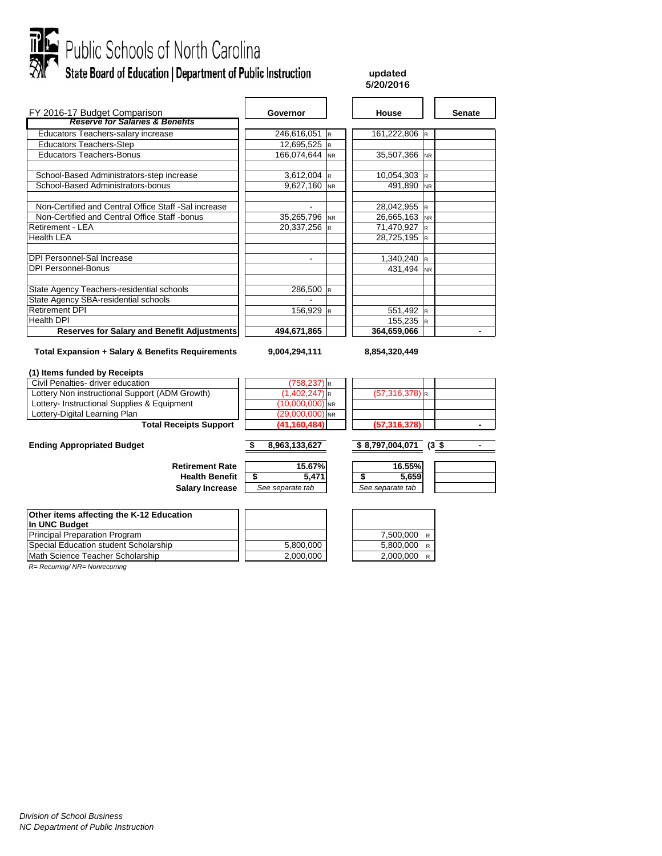

# Public Schools of North Carolina<br>Mr State Board of Education | Department of Public Instruction

### **updated 5/20/2016**

| FY 2016-17 Budget Comparison                                | Governor       |           | House         | <b>Senate</b> |
|-------------------------------------------------------------|----------------|-----------|---------------|---------------|
| <b>Reserve for Salaries &amp; Benefits</b>                  |                |           |               |               |
| Educators Teachers-salary increase                          | 246,616,051 R  |           | 161,222,806 R |               |
| <b>Educators Teachers-Step</b>                              | 12,695,525 R   |           |               |               |
| <b>Educators Teachers-Bonus</b>                             | 166,074,644 NR |           | 35,507,366 NR |               |
| School-Based Administrators-step increase                   | $3,612,004$ R  |           | 10,054,303 R  |               |
| School-Based Administrators-bonus                           | 9,627,160 NR   |           | 491,890 NR    |               |
| Non-Certified and Central Office Staff -Sal increase        |                |           | 28,042,955 R  |               |
| Non-Certified and Central Office Staff -bonus               | 35,265,796 NR  |           | 26,665,163 NR |               |
| <b>Retirement - LEA</b>                                     | 20,337,256 R   |           | 71,470,927 R  |               |
| <b>Health LEA</b>                                           |                |           | 28,725,195 R  |               |
| <b>DPI Personnel-Sal Increase</b>                           | ٠              |           | 1,340,240 R   |               |
| <b>DPI Personnel-Bonus</b>                                  |                |           | 431,494 NR    |               |
| State Agency Teachers-residential schools                   | 286,500 R      |           |               |               |
| State Agency SBA-residential schools                        |                |           |               |               |
| <b>Retirement DPI</b>                                       | 156,929        | <b>IR</b> | 551,492 R     |               |
| Health DPI                                                  |                |           | $155,235$ R   |               |
| <b>Reserves for Salary and Benefit Adjustments</b>          | 494,671,865    |           | 364,659,066   |               |
| <b>Total Expansion + Salary &amp; Benefits Requirements</b> | 9,004,294,111  |           | 8,854,320,449 |               |

### **(1) Items funded by Receipts**

| Civil Penalties- driver education                                 | $(758, 237)$ <sub>R</sub> |                               |
|-------------------------------------------------------------------|---------------------------|-------------------------------|
| Lottery Non instructional Support (ADM Growth)                    | $(1,402,247)$ R           | $(57,316,378)$ <sub>R</sub>   |
| Lottery- Instructional Supplies & Equipment                       | $(10,000,000)$ NR         |                               |
| Lottery-Digital Learning Plan                                     | $(29,000,000)$ NR         |                               |
| <b>Total Receipts Support</b>                                     | (41, 160, 484)            | (57, 316, 378)                |
| <b>Ending Appropriated Budget</b>                                 | 8,963,133,627             | \$8,797,004,071<br>$(3 \;$ \$ |
| <b>Retirement Rate</b>                                            | 15.67%                    | 16.55%                        |
| <b>Health Benefit</b>                                             | 5.471                     | 5,659                         |
| <b>Salary Increase</b>                                            | See separate tab          | See separate tab              |
| Other items affecting the K-12 Education<br><b>In IINC Rudget</b> |                           |                               |

| <b>THE ALLA PURITE</b>                |           |             |
|---------------------------------------|-----------|-------------|
| <b>Principal Preparation Program</b>  |           | 7.500.000 R |
| Special Education student Scholarship | 5.800.000 | 5.800.000 R |
| Math Science Teacher Scholarship      | 2.000.000 | 2.000.000 R |

*R= Recurring/ NR= Nonrecurring*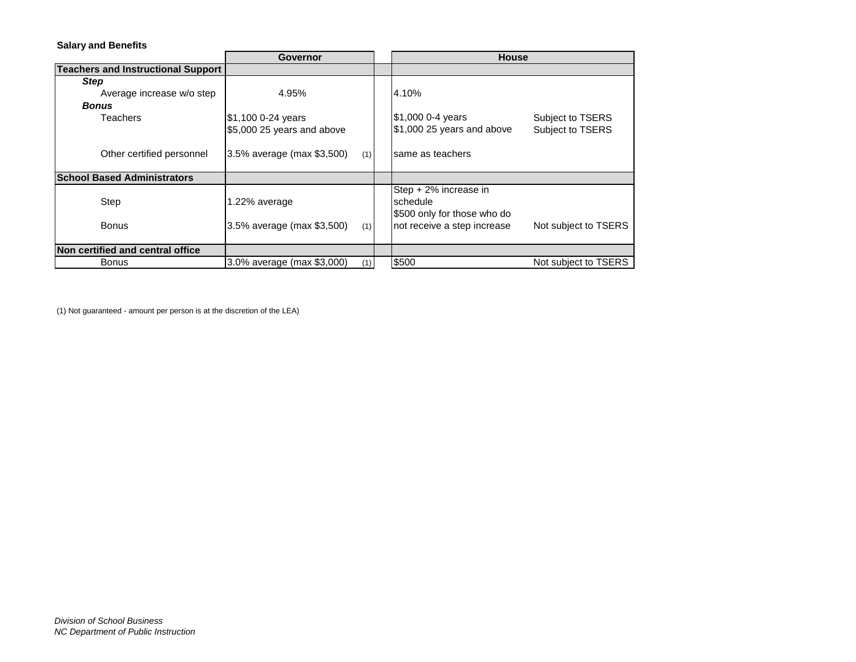## **Salary and Benefits**

|                                           | Governor                          | <b>House</b>                |                      |  |  |
|-------------------------------------------|-----------------------------------|-----------------------------|----------------------|--|--|
| <b>Teachers and Instructional Support</b> |                                   |                             |                      |  |  |
| <b>Step</b>                               |                                   |                             |                      |  |  |
| Average increase w/o step                 | 4.95%                             | 4.10%                       |                      |  |  |
| <b>Bonus</b>                              |                                   |                             |                      |  |  |
| Teachers                                  | \$1,100 0-24 years                | \$1,000 0-4 years           | Subject to TSERS     |  |  |
|                                           | \$5,000 25 years and above        | \$1,000 25 years and above  | Subject to TSERS     |  |  |
|                                           |                                   |                             |                      |  |  |
| Other certified personnel                 | 3.5% average (max \$3,500)<br>(1) | same as teachers            |                      |  |  |
|                                           |                                   |                             |                      |  |  |
| <b>School Based Administrators</b>        |                                   |                             |                      |  |  |
|                                           |                                   | Step + 2% increase in       |                      |  |  |
| Step                                      | 1.22% average                     | schedule                    |                      |  |  |
|                                           |                                   | \$500 only for those who do |                      |  |  |
| <b>Bonus</b>                              | 3.5% average (max \$3,500)<br>(1) | not receive a step increase | Not subject to TSERS |  |  |
|                                           |                                   |                             |                      |  |  |
| Non certified and central office          |                                   |                             |                      |  |  |
| Bonus                                     | 3.0% average (max \$3,000)<br>(1) | \$500                       | Not subject to TSERS |  |  |

(1) Not guaranteed - amount per person is at the discretion of the LEA)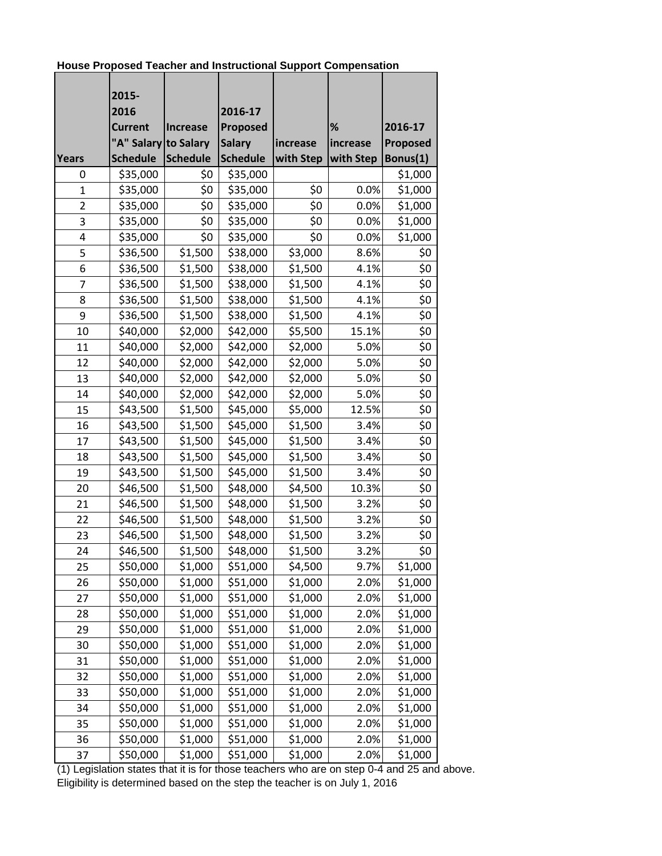**House Proposed Teacher and Instructional Support Compensation** 

|                | 2015-                |                 |                 |           |           |                 |
|----------------|----------------------|-----------------|-----------------|-----------|-----------|-----------------|
|                | 2016                 |                 | 2016-17         |           |           |                 |
|                | <b>Current</b>       | <b>Increase</b> | Proposed        |           | %         | 2016-17         |
|                | "A" Salary to Salary |                 | <b>Salary</b>   | increase  | increase  | <b>Proposed</b> |
| <b>Years</b>   | <b>Schedule</b>      | <b>Schedule</b> | <b>Schedule</b> | with Step | with Step | Bonus(1)        |
| 0              | \$35,000             | \$0             | \$35,000        |           |           | \$1,000         |
| $\overline{1}$ | \$35,000             | \$0             | \$35,000        | \$0       | 0.0%      | \$1,000         |
| $\overline{2}$ | \$35,000             | \$0             | \$35,000        | \$0       | 0.0%      | \$1,000         |
| 3              | \$35,000             | \$0             | \$35,000        | \$0       | 0.0%      | \$1,000         |
| 4              | \$35,000             | \$0             | \$35,000        | \$0       | 0.0%      | \$1,000         |
| 5              | \$36,500             | \$1,500         | \$38,000        | \$3,000   | 8.6%      | \$0             |
| 6              | \$36,500             | \$1,500         | \$38,000        | \$1,500   | 4.1%      | \$0             |
| 7              | \$36,500             | \$1,500         | \$38,000        | \$1,500   | 4.1%      | \$0             |
| 8              | \$36,500             | \$1,500         | \$38,000        | \$1,500   | 4.1%      | \$0             |
| 9              | \$36,500             | \$1,500         | \$38,000        | \$1,500   | 4.1%      | \$0             |
| 10             | \$40,000             | \$2,000         | \$42,000        | \$5,500   | 15.1%     | \$0             |
| 11             | \$40,000             | \$2,000         | \$42,000        | \$2,000   | 5.0%      | \$0             |
| 12             | \$40,000             | \$2,000         | \$42,000        | \$2,000   | 5.0%      | \$0             |
| 13             | \$40,000             | \$2,000         | \$42,000        | \$2,000   | 5.0%      | \$0             |
| 14             | \$40,000             | \$2,000         | \$42,000        | \$2,000   | 5.0%      | \$0             |
| 15             | \$43,500             | \$1,500         | \$45,000        | \$5,000   | 12.5%     | \$0             |
| 16             | \$43,500             | \$1,500         | \$45,000        | \$1,500   | 3.4%      | \$0             |
| 17             | \$43,500             | \$1,500         | \$45,000        | \$1,500   | 3.4%      | \$0             |
| 18             | \$43,500             | \$1,500         | \$45,000        | \$1,500   | 3.4%      | \$0             |
| 19             | \$43,500             | \$1,500         | \$45,000        | \$1,500   | 3.4%      | \$0             |
| 20             | \$46,500             | \$1,500         | \$48,000        | \$4,500   | 10.3%     | \$0             |
| 21             | \$46,500             | \$1,500         | \$48,000        | \$1,500   | 3.2%      | \$0             |
| 22             | \$46,500             | \$1,500         | \$48,000        | \$1,500   | 3.2%      | \$0             |
| 23             | \$46,500             | \$1,500         | \$48,000        | \$1,500   | 3.2%      | \$0             |
| 24             | \$46,500             | \$1,500         | \$48,000        | \$1,500   | 3.2%      | \$0             |
| 25             | \$50,000             | \$1,000         | \$51,000        | \$4,500   | 9.7%      | \$1,000         |
| 26             | \$50,000             | \$1,000         | \$51,000        | \$1,000   | 2.0%      | \$1,000         |
| 27             | \$50,000             | \$1,000         | \$51,000        | \$1,000   | 2.0%      | \$1,000         |
| 28             | \$50,000             | \$1,000         | \$51,000        | \$1,000   | 2.0%      | \$1,000         |
| 29             | \$50,000             | \$1,000         | \$51,000        | \$1,000   | 2.0%      | \$1,000         |
| 30             | \$50,000             | \$1,000         | \$51,000        | \$1,000   | 2.0%      | \$1,000         |
| 31             | \$50,000             | \$1,000         | \$51,000        | \$1,000   | 2.0%      | \$1,000         |
| 32             | \$50,000             | \$1,000         | \$51,000        | \$1,000   | 2.0%      | \$1,000         |
| 33             | \$50,000             | \$1,000         | \$51,000        | \$1,000   | 2.0%      | \$1,000         |
| 34             | \$50,000             | \$1,000         | \$51,000        | \$1,000   | 2.0%      | \$1,000         |
| 35             | \$50,000             | \$1,000         | \$51,000        | \$1,000   | 2.0%      | \$1,000         |
| 36             | \$50,000             | \$1,000         | \$51,000        | \$1,000   | 2.0%      | \$1,000         |
| 37             | \$50,000             | \$1,000         | \$51,000        | \$1,000   | 2.0%      | \$1,000         |

(1) Legislation states that it is for those teachers who are on step 0-4 and 25 and above. Eligibility is determined based on the step the teacher is on July 1, 2016